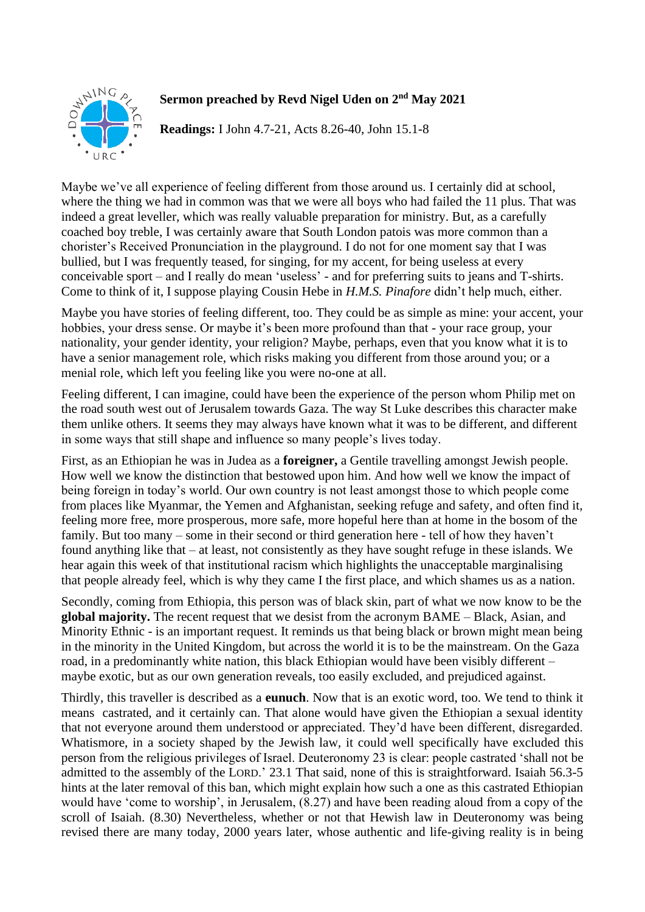

## **Sermon preached by Revd Nigel Uden on 2 nd May 2021**

**Readings:** I John 4.7-21, Acts 8.26-40, John 15.1-8

Maybe we've all experience of feeling different from those around us. I certainly did at school, where the thing we had in common was that we were all boys who had failed the 11 plus. That was indeed a great leveller, which was really valuable preparation for ministry. But, as a carefully coached boy treble, I was certainly aware that South London patois was more common than a chorister's Received Pronunciation in the playground. I do not for one moment say that I was bullied, but I was frequently teased, for singing, for my accent, for being useless at every conceivable sport – and I really do mean 'useless' - and for preferring suits to jeans and T-shirts. Come to think of it, I suppose playing Cousin Hebe in *H.M.S. Pinafore* didn't help much, either.

Maybe you have stories of feeling different, too. They could be as simple as mine: your accent, your hobbies, your dress sense. Or maybe it's been more profound than that - your race group, your nationality, your gender identity, your religion? Maybe, perhaps, even that you know what it is to have a senior management role, which risks making you different from those around you; or a menial role, which left you feeling like you were no-one at all.

Feeling different, I can imagine, could have been the experience of the person whom Philip met on the road south west out of Jerusalem towards Gaza. The way St Luke describes this character make them unlike others. It seems they may always have known what it was to be different, and different in some ways that still shape and influence so many people's lives today.

First, as an Ethiopian he was in Judea as a **foreigner,** a Gentile travelling amongst Jewish people. How well we know the distinction that bestowed upon him. And how well we know the impact of being foreign in today's world. Our own country is not least amongst those to which people come from places like Myanmar, the Yemen and Afghanistan, seeking refuge and safety, and often find it, feeling more free, more prosperous, more safe, more hopeful here than at home in the bosom of the family. But too many – some in their second or third generation here - tell of how they haven't found anything like that – at least, not consistently as they have sought refuge in these islands. We hear again this week of that institutional racism which highlights the unacceptable marginalising that people already feel, which is why they came I the first place, and which shames us as a nation.

Secondly, coming from Ethiopia, this person was of black skin, part of what we now know to be the **global majority.** The recent request that we desist from the acronym BAME – Black, Asian, and Minority Ethnic - is an important request. It reminds us that being black or brown might mean being in the minority in the United Kingdom, but across the world it is to be the mainstream. On the Gaza road, in a predominantly white nation, this black Ethiopian would have been visibly different – maybe exotic, but as our own generation reveals, too easily excluded, and prejudiced against.

Thirdly, this traveller is described as a **eunuch**. Now that is an exotic word, too. We tend to think it means castrated, and it certainly can. That alone would have given the Ethiopian a sexual identity that not everyone around them understood or appreciated. They'd have been different, disregarded. Whatismore, in a society shaped by the Jewish law, it could well specifically have excluded this person from the religious privileges of Israel. Deuteronomy 23 is clear: people castrated 'shall not be admitted to the assembly of the LORD.' 23.1 That said, none of this is straightforward. Isaiah 56.3-5 hints at the later removal of this ban, which might explain how such a one as this castrated Ethiopian would have 'come to worship', in Jerusalem, (8.27) and have been reading aloud from a copy of the scroll of Isaiah. (8.30) Nevertheless, whether or not that Hewish law in Deuteronomy was being revised there are many today, 2000 years later, whose authentic and life-giving reality is in being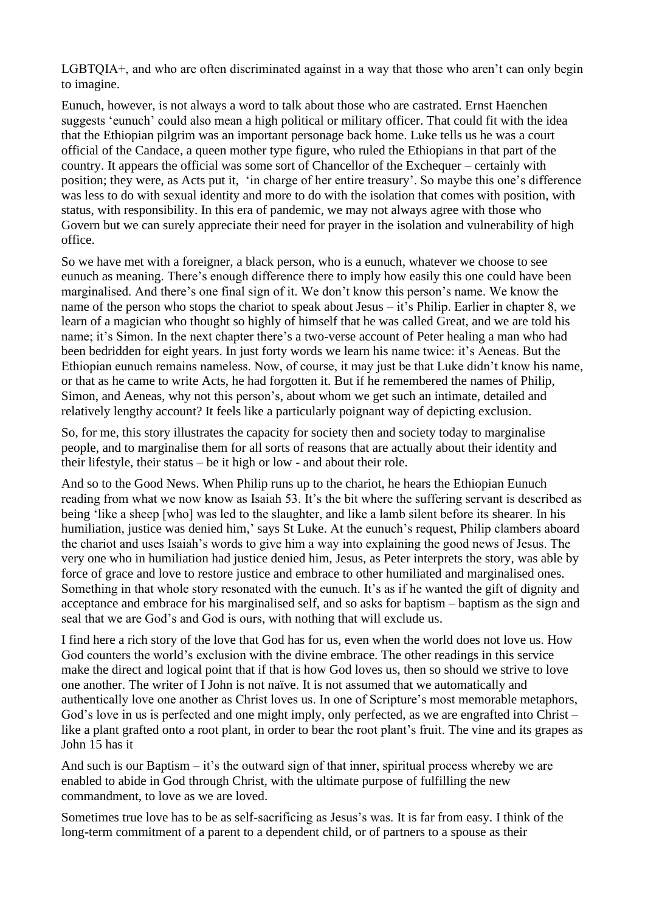LGBTOIA<sup>+</sup>, and who are often discriminated against in a way that those who aren't can only begin to imagine.

Eunuch, however, is not always a word to talk about those who are castrated. Ernst Haenchen suggests 'eunuch' could also mean a high political or military officer. That could fit with the idea that the Ethiopian pilgrim was an important personage back home. Luke tells us he was a court official of the Candace, a queen mother type figure, who ruled the Ethiopians in that part of the country. It appears the official was some sort of Chancellor of the Exchequer – certainly with position; they were, as Acts put it, 'in charge of her entire treasury'. So maybe this one's difference was less to do with sexual identity and more to do with the isolation that comes with position, with status, with responsibility. In this era of pandemic, we may not always agree with those who Govern but we can surely appreciate their need for prayer in the isolation and vulnerability of high office.

So we have met with a foreigner, a black person, who is a eunuch, whatever we choose to see eunuch as meaning. There's enough difference there to imply how easily this one could have been marginalised. And there's one final sign of it. We don't know this person's name. We know the name of the person who stops the chariot to speak about Jesus – it's Philip. Earlier in chapter 8, we learn of a magician who thought so highly of himself that he was called Great, and we are told his name; it's Simon. In the next chapter there's a two-verse account of Peter healing a man who had been bedridden for eight years. In just forty words we learn his name twice: it's Aeneas. But the Ethiopian eunuch remains nameless. Now, of course, it may just be that Luke didn't know his name, or that as he came to write Acts, he had forgotten it. But if he remembered the names of Philip, Simon, and Aeneas, why not this person's, about whom we get such an intimate, detailed and relatively lengthy account? It feels like a particularly poignant way of depicting exclusion.

So, for me, this story illustrates the capacity for society then and society today to marginalise people, and to marginalise them for all sorts of reasons that are actually about their identity and their lifestyle, their status – be it high or low - and about their role.

And so to the Good News. When Philip runs up to the chariot, he hears the Ethiopian Eunuch reading from what we now know as Isaiah 53. It's the bit where the suffering servant is described as being 'like a sheep [who] was led to the slaughter, and like a lamb silent before its shearer. In his humiliation, justice was denied him,' says St Luke. At the eunuch's request, Philip clambers aboard the chariot and uses Isaiah's words to give him a way into explaining the good news of Jesus. The very one who in humiliation had justice denied him, Jesus, as Peter interprets the story, was able by force of grace and love to restore justice and embrace to other humiliated and marginalised ones. Something in that whole story resonated with the eunuch. It's as if he wanted the gift of dignity and acceptance and embrace for his marginalised self, and so asks for baptism – baptism as the sign and seal that we are God's and God is ours, with nothing that will exclude us.

I find here a rich story of the love that God has for us, even when the world does not love us. How God counters the world's exclusion with the divine embrace. The other readings in this service make the direct and logical point that if that is how God loves us, then so should we strive to love one another. The writer of I John is not naïve. It is not assumed that we automatically and authentically love one another as Christ loves us. In one of Scripture's most memorable metaphors, God's love in us is perfected and one might imply, only perfected, as we are engrafted into Christ – like a plant grafted onto a root plant, in order to bear the root plant's fruit. The vine and its grapes as John 15 has it

And such is our Baptism – it's the outward sign of that inner, spiritual process whereby we are enabled to abide in God through Christ, with the ultimate purpose of fulfilling the new commandment, to love as we are loved.

Sometimes true love has to be as self-sacrificing as Jesus's was. It is far from easy. I think of the long-term commitment of a parent to a dependent child, or of partners to a spouse as their